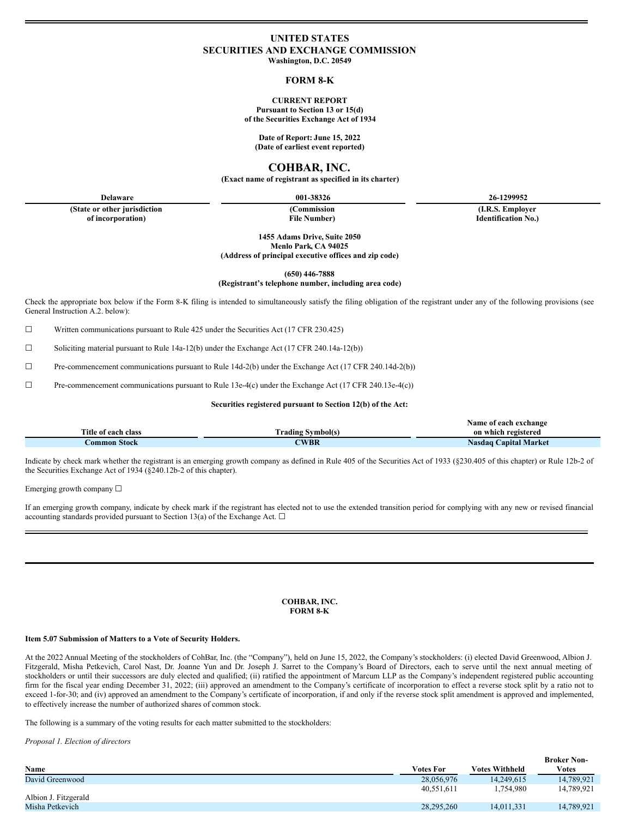# **UNITED STATES SECURITIES AND EXCHANGE COMMISSION**

**Washington, D.C. 20549**

### **FORM 8-K**

## **CURRENT REPORT**

**Pursuant to Section 13 or 15(d) of the Securities Exchange Act of 1934**

**Date of Report: June 15, 2022 (Date of earliest event reported)**

**COHBAR, INC.**

**(Exact name of registrant as specified in its charter)**

**(State or other jurisdiction**

**of incorporation)**

**(Commission File Number)**

**Delaware 001-38326 26-1299952**

**(I.R.S. Employer Identification No.)**

**1455 Adams Drive, Suite 2050 Menlo Park, CA 94025 (Address of principal executive offices and zip code)**

**(650) 446-7888**

**(Registrant's telephone number, including area code)**

Check the appropriate box below if the Form 8-K filing is intended to simultaneously satisfy the filing obligation of the registrant under any of the following provisions (see General Instruction A.2. below):

☐ Written communications pursuant to Rule 425 under the Securities Act (17 CFR 230.425)

☐ Soliciting material pursuant to Rule 14a-12(b) under the Exchange Act (17 CFR 240.14a-12(b))

☐ Pre-commencement communications pursuant to Rule 14d-2(b) under the Exchange Act (17 CFR 240.14d-2(b))

☐ Pre-commencement communications pursuant to Rule 13e-4(c) under the Exchange Act (17 CFR 240.13e-4(c))

#### **Securities registered pursuant to Section 12(b) of the Act:**

|                     |                          | Name of each exchange        |
|---------------------|--------------------------|------------------------------|
| Title of each class | <b>Frading Symbol(s)</b> | on which registered          |
| Common Stock        | <b>WBR</b>               | <b>Nasdaq Capital Market</b> |

Indicate by check mark whether the registrant is an emerging growth company as defined in Rule 405 of the Securities Act of 1933 (§230.405 of this chapter) or Rule 12b-2 of the Securities Exchange Act of 1934 (§240.12b-2 of this chapter).

Emerging growth company  $\Box$ 

If an emerging growth company, indicate by check mark if the registrant has elected not to use the extended transition period for complying with any new or revised financial accounting standards provided pursuant to Section 13(a) of the Exchange Act.  $\square$ 

#### **COHBAR, INC. FORM 8-K**

#### **Item 5.07 Submission of Matters to a Vote of Security Holders.**

At the 2022 Annual Meeting of the stockholders of CohBar, Inc. (the "Company"), held on June 15, 2022, the Company's stockholders: (i) elected David Greenwood, Albion J. Fitzgerald, Misha Petkevich, Carol Nast, Dr. Joanne Yun and Dr. Joseph J. Sarret to the Company's Board of Directors, each to serve until the next annual meeting of stockholders or until their successors are duly elected and qualified; (ii) ratified the appointment of Marcum LLP as the Company's independent registered public accounting firm for the fiscal year ending December 31, 2022; (iii) approved an amendment to the Company's certificate of incorporation to effect a reverse stock split by a ratio not to exceed 1-for-30; and (iv) approved an amendment to the Company's certificate of incorporation, if and only if the reverse stock split amendment is approved and implemented, to effectively increase the number of authorized shares of common stock.

The following is a summary of the voting results for each matter submitted to the stockholders:

*Proposal 1. Election of directors*

|                      |            |                | <b>Broker Non-</b> |
|----------------------|------------|----------------|--------------------|
| Name                 | Votes For  | Votes Withheld | <b>Votes</b>       |
| David Greenwood      | 28,056,976 | 14.249.615     | 14.789.921         |
|                      | 40.551.611 | .754.980       | 14,789,921         |
| Albion J. Fitzgerald |            |                |                    |
| Misha Petkevich      | 28,295,260 | 14.011.331     | 14,789,921         |
|                      |            |                |                    |